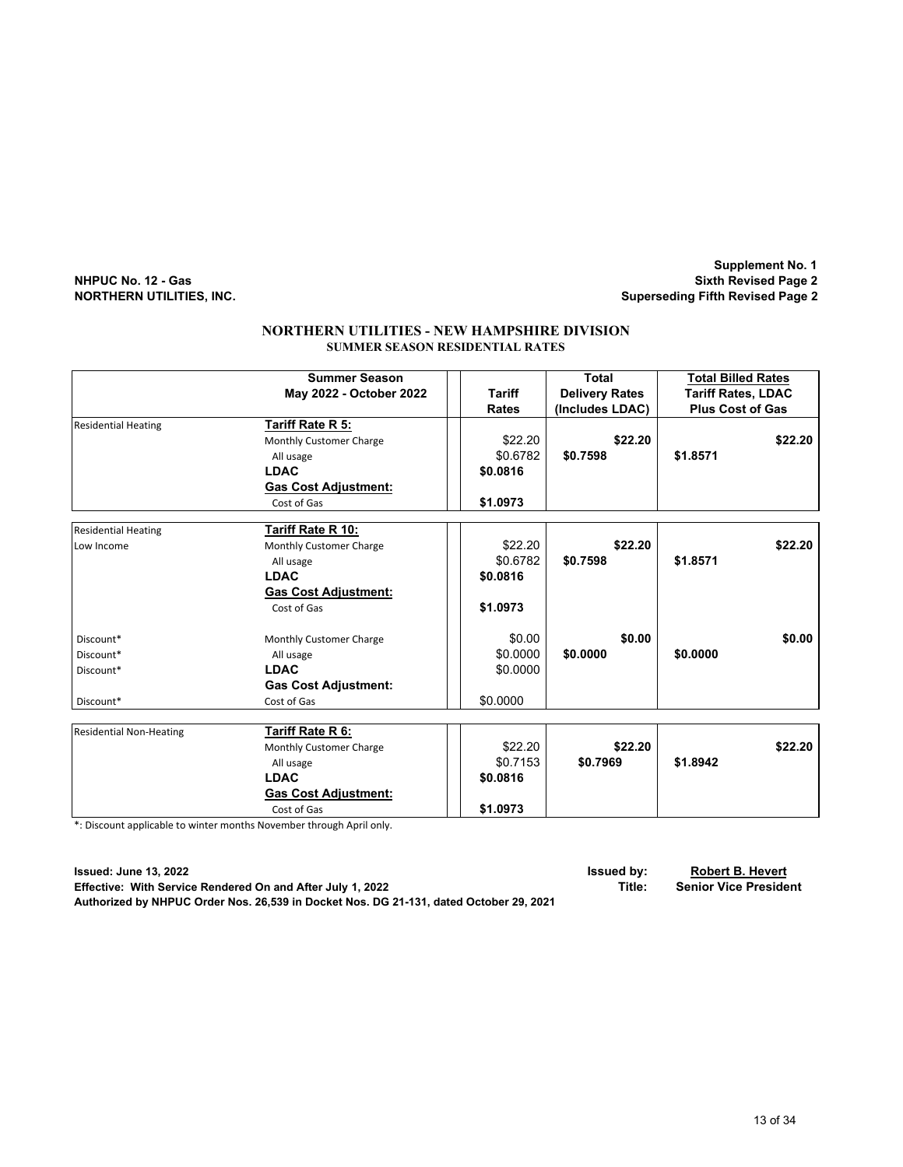**Supplement No. 1 NHPUC No. 12 - Gas Sixth Revised Page 2 Superseding Fifth Revised Page 2** 

|                                | <b>Summer Season</b>        |  |               | Total                 |          | <b>Total Billed Rates</b> |
|--------------------------------|-----------------------------|--|---------------|-----------------------|----------|---------------------------|
|                                | May 2022 - October 2022     |  | <b>Tariff</b> | <b>Delivery Rates</b> |          | <b>Tariff Rates, LDAC</b> |
|                                |                             |  | <b>Rates</b>  | (Includes LDAC)       |          | <b>Plus Cost of Gas</b>   |
| <b>Residential Heating</b>     | Tariff Rate R 5:            |  |               |                       |          |                           |
|                                | Monthly Customer Charge     |  | \$22.20       | \$22.20               |          | \$22.20                   |
|                                | All usage                   |  | \$0.6782      | \$0.7598              | \$1.8571 |                           |
|                                | <b>LDAC</b>                 |  | \$0.0816      |                       |          |                           |
|                                | <b>Gas Cost Adjustment:</b> |  |               |                       |          |                           |
|                                | Cost of Gas                 |  | \$1.0973      |                       |          |                           |
| <b>Residential Heating</b>     | Tariff Rate R 10:           |  |               |                       |          |                           |
| Low Income                     | Monthly Customer Charge     |  | \$22.20       | \$22.20               |          | \$22.20                   |
|                                | All usage                   |  | \$0.6782      | \$0.7598              | \$1.8571 |                           |
|                                | <b>LDAC</b>                 |  | \$0.0816      |                       |          |                           |
|                                | <b>Gas Cost Adjustment:</b> |  |               |                       |          |                           |
|                                | Cost of Gas                 |  | \$1.0973      |                       |          |                           |
| Discount*                      | Monthly Customer Charge     |  | \$0.00        | \$0.00                |          | \$0.00                    |
| Discount*                      | All usage                   |  | \$0.0000      | \$0.0000              | \$0.0000 |                           |
| Discount*                      | <b>LDAC</b>                 |  | \$0.0000      |                       |          |                           |
|                                | <b>Gas Cost Adjustment:</b> |  |               |                       |          |                           |
| Discount*                      | Cost of Gas                 |  | \$0.0000      |                       |          |                           |
|                                |                             |  |               |                       |          |                           |
| <b>Residential Non-Heating</b> | Tariff Rate R 6:            |  |               |                       |          |                           |
|                                | Monthly Customer Charge     |  | \$22.20       | \$22.20               |          | \$22.20                   |
|                                | All usage                   |  | \$0.7153      | \$0.7969              | \$1.8942 |                           |
|                                | <b>LDAC</b>                 |  | \$0.0816      |                       |          |                           |
|                                | <b>Gas Cost Adjustment:</b> |  |               |                       |          |                           |
|                                | Cost of Gas                 |  | \$1.0973      |                       |          |                           |

#### **NORTHERN UTILITIES - NEW HAMPSHIRE DIVISION SUMMER SEASON RESIDENTIAL RATES**

\*: Discount applicable to winter months November through April only.

**Issued: June 13, 2022 Issued by: Robert B. Hevert Effective: With Service Rendered On and After July 1, 2022 Title:** Title: **Authorized by NHPUC Order Nos. 26,539 in Docket Nos. DG 21-131, dated October 29, 2021**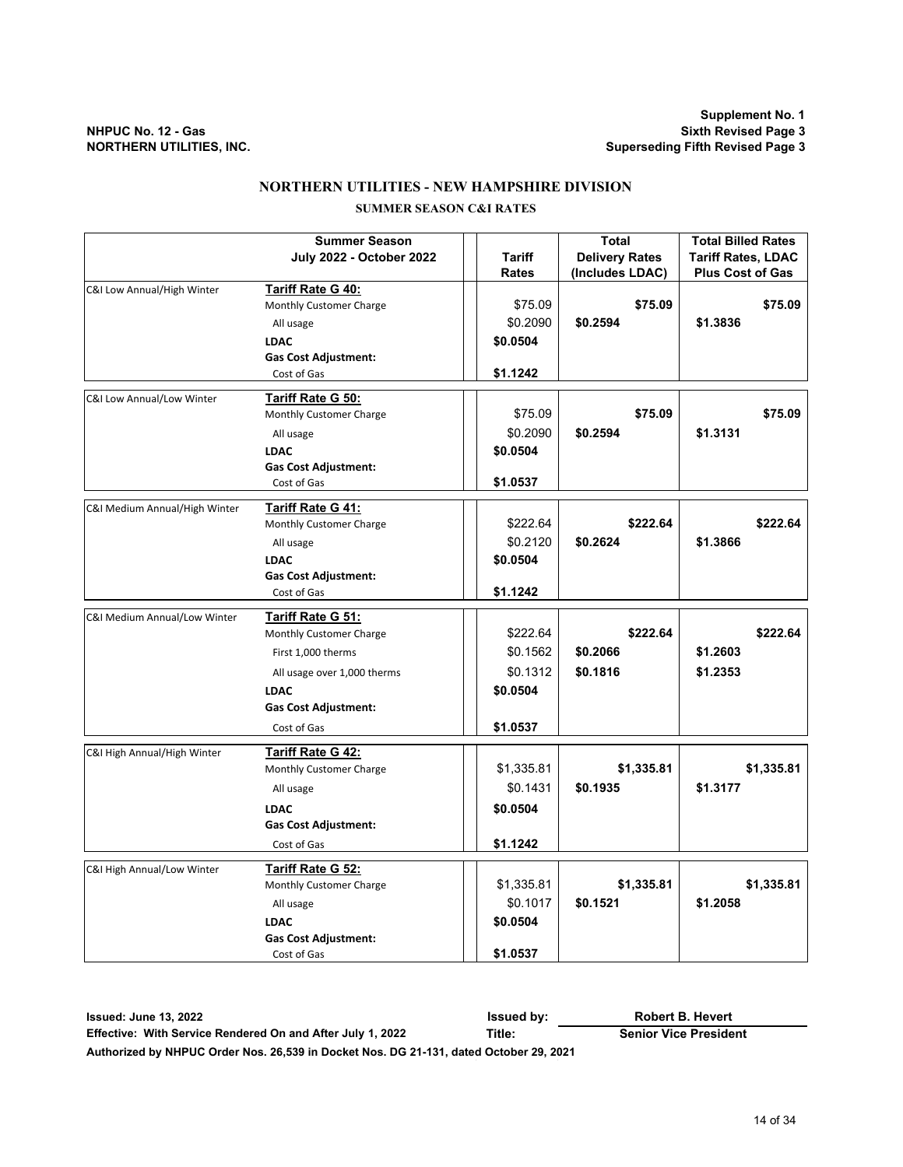**Supplement No. 1 NHPUC No. 12 - Gas Sixth Revised Page 3 Superseding Fifth Revised Page 3** 

#### **NORTHERN UTILITIES - NEW HAMPSHIRE DIVISION**

### **SUMMER SEASON C&I RATES**

|                               | <b>Summer Season</b>            |              | <b>Total</b>          | <b>Total Billed Rates</b> |
|-------------------------------|---------------------------------|--------------|-----------------------|---------------------------|
|                               | <b>July 2022 - October 2022</b> | Tariff       | <b>Delivery Rates</b> | <b>Tariff Rates, LDAC</b> |
|                               |                                 | <b>Rates</b> | (Includes LDAC)       | <b>Plus Cost of Gas</b>   |
| C&I Low Annual/High Winter    | Tariff Rate G 40:               |              |                       |                           |
|                               | Monthly Customer Charge         | \$75.09      | \$75.09               | \$75.09                   |
|                               | All usage                       | \$0.2090     | \$0.2594              | \$1.3836                  |
|                               | <b>LDAC</b>                     | \$0.0504     |                       |                           |
|                               | <b>Gas Cost Adjustment:</b>     |              |                       |                           |
|                               | Cost of Gas                     | \$1.1242     |                       |                           |
| C&I Low Annual/Low Winter     | Tariff Rate G 50:               |              |                       |                           |
|                               | Monthly Customer Charge         | \$75.09      | \$75.09               | \$75.09                   |
|                               | All usage                       | \$0.2090     | \$0.2594              | \$1.3131                  |
|                               | <b>LDAC</b>                     | \$0.0504     |                       |                           |
|                               | <b>Gas Cost Adjustment:</b>     |              |                       |                           |
|                               | Cost of Gas                     | \$1.0537     |                       |                           |
|                               |                                 |              |                       |                           |
| C&I Medium Annual/High Winter | <b>Tariff Rate G 41:</b>        |              |                       |                           |
|                               | Monthly Customer Charge         | \$222.64     | \$222.64              | \$222.64                  |
|                               | All usage                       | \$0.2120     | \$0.2624              | \$1.3866                  |
|                               | <b>LDAC</b>                     | \$0.0504     |                       |                           |
|                               | <b>Gas Cost Adjustment:</b>     |              |                       |                           |
|                               | Cost of Gas                     | \$1.1242     |                       |                           |
| C&I Medium Annual/Low Winter  | Tariff Rate G 51:               |              |                       |                           |
|                               | Monthly Customer Charge         | \$222.64     | \$222.64              | \$222.64                  |
|                               | First 1,000 therms              | \$0.1562     | \$0.2066              | \$1.2603                  |
|                               | All usage over 1,000 therms     | \$0.1312     | \$0.1816              | \$1.2353                  |
|                               | <b>LDAC</b>                     | \$0.0504     |                       |                           |
|                               | <b>Gas Cost Adjustment:</b>     |              |                       |                           |
|                               |                                 |              |                       |                           |
|                               | Cost of Gas                     | \$1.0537     |                       |                           |
| C&I High Annual/High Winter   | <b>Tariff Rate G 42:</b>        |              |                       |                           |
|                               | Monthly Customer Charge         | \$1,335.81   | \$1,335.81            | \$1,335.81                |
|                               | All usage                       | \$0.1431     | \$0.1935              | \$1.3177                  |
|                               | LDAC                            | \$0.0504     |                       |                           |
|                               | <b>Gas Cost Adjustment:</b>     |              |                       |                           |
|                               | Cost of Gas                     | \$1.1242     |                       |                           |
|                               |                                 |              |                       |                           |
| C&I High Annual/Low Winter    | <b>Tariff Rate G 52:</b>        |              |                       |                           |
|                               | Monthly Customer Charge         | \$1,335.81   | \$1,335.81            | \$1,335.81                |
|                               | All usage                       | \$0.1017     | \$0.1521              | \$1.2058                  |
|                               | <b>LDAC</b>                     | \$0.0504     |                       |                           |
|                               | <b>Gas Cost Adjustment:</b>     |              |                       |                           |
|                               | Cost of Gas                     | \$1.0537     |                       |                           |

**Issued: June 13, 2022 Issued by: Effective: With Service Rendered On and After July 1, 2022 Title: Senior Vice President Authorized by NHPUC Order Nos. 26,539 in Docket Nos. DG 21-131, dated October 29, 2021 Robert B. Hevert**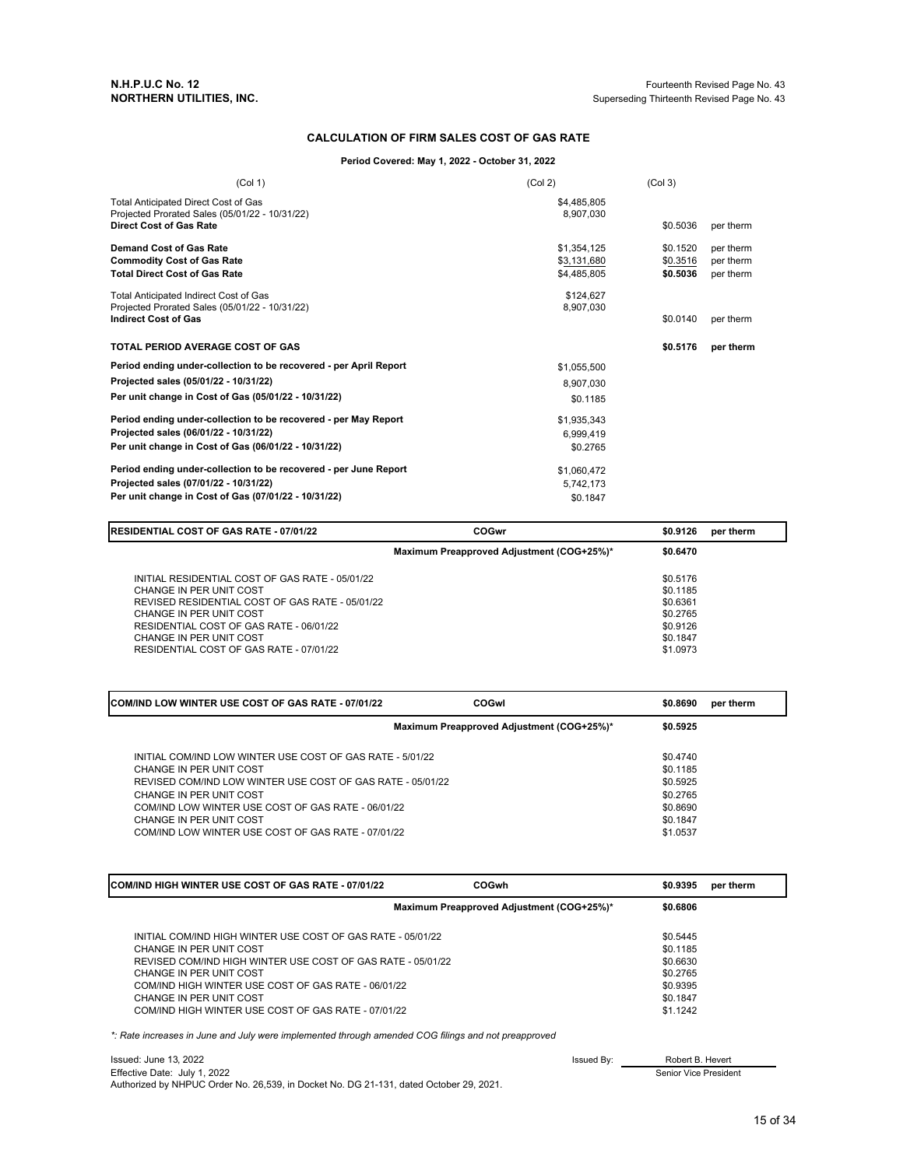#### **CALCULATION OF FIRM SALES COST OF GAS RATE**

#### **Period Covered: May 1, 2022 - October 31, 2022**

| (Col 1)                                                                          | (Col 2)     | (Col <sub>3</sub> ) |           |
|----------------------------------------------------------------------------------|-------------|---------------------|-----------|
| Total Anticipated Direct Cost of Gas                                             | \$4,485,805 |                     |           |
| Projected Prorated Sales (05/01/22 - 10/31/22)<br><b>Direct Cost of Gas Rate</b> | 8,907,030   | \$0.5036            | per therm |
| <b>Demand Cost of Gas Rate</b>                                                   | \$1,354,125 | \$0.1520            | per therm |
| <b>Commodity Cost of Gas Rate</b>                                                | \$3,131,680 | \$0.3516            | per therm |
| <b>Total Direct Cost of Gas Rate</b>                                             | \$4,485,805 | \$0.5036            | per therm |
| <b>Total Anticipated Indirect Cost of Gas</b>                                    | \$124.627   |                     |           |
| Projected Prorated Sales (05/01/22 - 10/31/22)                                   | 8.907.030   |                     |           |
| <b>Indirect Cost of Gas</b>                                                      |             | \$0.0140            | per therm |
| TOTAL PERIOD AVERAGE COST OF GAS                                                 |             | \$0.5176            | per therm |
| Period ending under-collection to be recovered - per April Report                | \$1,055,500 |                     |           |
| Projected sales (05/01/22 - 10/31/22)                                            | 8,907,030   |                     |           |
| Per unit change in Cost of Gas (05/01/22 - 10/31/22)                             | \$0.1185    |                     |           |
| Period ending under-collection to be recovered - per May Report                  | \$1,935,343 |                     |           |
| Projected sales (06/01/22 - 10/31/22)                                            | 6,999,419   |                     |           |
| Per unit change in Cost of Gas (06/01/22 - 10/31/22)                             | \$0.2765    |                     |           |
| Period ending under-collection to be recovered - per June Report                 | \$1,060,472 |                     |           |
| Projected sales (07/01/22 - 10/31/22)                                            | 5,742,173   |                     |           |
| Per unit change in Cost of Gas (07/01/22 - 10/31/22)                             | \$0.1847    |                     |           |

| <b>RESIDENTIAL COST OF GAS RATE - 07/01/22</b>                                                                                                                                                                                                                            | COGwr                                     | \$0.9126                                                                         | per therm |
|---------------------------------------------------------------------------------------------------------------------------------------------------------------------------------------------------------------------------------------------------------------------------|-------------------------------------------|----------------------------------------------------------------------------------|-----------|
|                                                                                                                                                                                                                                                                           | Maximum Preapproved Adjustment (COG+25%)* | \$0.6470                                                                         |           |
| INITIAL RESIDENTIAL COST OF GAS RATE - 05/01/22<br>CHANGE IN PER UNIT COST<br>REVISED RESIDENTIAL COST OF GAS RATE - 05/01/22<br>CHANGE IN PER UNIT COST<br>RESIDENTIAL COST OF GAS RATE - 06/01/22<br>CHANGE IN PER UNIT COST<br>RESIDENTIAL COST OF GAS RATE - 07/01/22 |                                           | \$0.5176<br>\$0.1185<br>\$0.6361<br>\$0,2765<br>\$0.9126<br>\$0.1847<br>\$1,0973 |           |

| ICOM/IND LOW WINTER USE COST OF GAS RATE - 07/01/22                                                                                                                                                                                                                                                                  | COGwl                                     | \$0.8690                                                                         | per therm |
|----------------------------------------------------------------------------------------------------------------------------------------------------------------------------------------------------------------------------------------------------------------------------------------------------------------------|-------------------------------------------|----------------------------------------------------------------------------------|-----------|
|                                                                                                                                                                                                                                                                                                                      | Maximum Preapproved Adjustment (COG+25%)* | \$0.5925                                                                         |           |
| INITIAL COM/IND LOW WINTER USE COST OF GAS RATE - 5/01/22<br>CHANGE IN PER UNIT COST<br>REVISED COM/IND LOW WINTER USE COST OF GAS RATE - 05/01/22<br>CHANGE IN PER UNIT COST<br>COM/IND LOW WINTER USE COST OF GAS RATE - 06/01/22<br>CHANGE IN PER UNIT COST<br>COM/IND LOW WINTER USE COST OF GAS RATE - 07/01/22 |                                           | \$0.4740<br>\$0.1185<br>\$0.5925<br>\$0.2765<br>\$0.8690<br>\$0.1847<br>\$1.0537 |           |

| COM/IND HIGH WINTER USE COST OF GAS RATE - 07/01/22         | COGwh                                     | \$0.9395 | per therm |
|-------------------------------------------------------------|-------------------------------------------|----------|-----------|
|                                                             | Maximum Preapproved Adjustment (COG+25%)* | \$0.6806 |           |
| INITIAL COM/IND HIGH WINTER USE COST OF GAS RATE - 05/01/22 |                                           | \$0.5445 |           |
| CHANGE IN PER UNIT COST                                     |                                           | \$0.1185 |           |
| REVISED COM/IND HIGH WINTER USE COST OF GAS RATE - 05/01/22 |                                           | \$0.6630 |           |
| CHANGE IN PER UNIT COST                                     |                                           | \$0.2765 |           |
| COM/IND HIGH WINTER USE COST OF GAS RATE - 06/01/22         |                                           | \$0.9395 |           |
| CHANGE IN PER UNIT COST                                     |                                           | \$0.1847 |           |
| COM/IND HIGH WINTER USE COST OF GAS RATE - 07/01/22         |                                           | \$1.1242 |           |

*\*: Rate increases in June and July were implemented through amended COG filings and not preapproved*

| Issued: June 13, 2022                                                                  | Issued By: | Robert B. Hevert      |
|----------------------------------------------------------------------------------------|------------|-----------------------|
| Effective Date: July 1, 2022                                                           |            | Senior Vice President |
| Authorized by NHPUC Order No. 26.539, in Docket No. DG 21-131, dated October 29, 2021. |            |                       |

15 of 34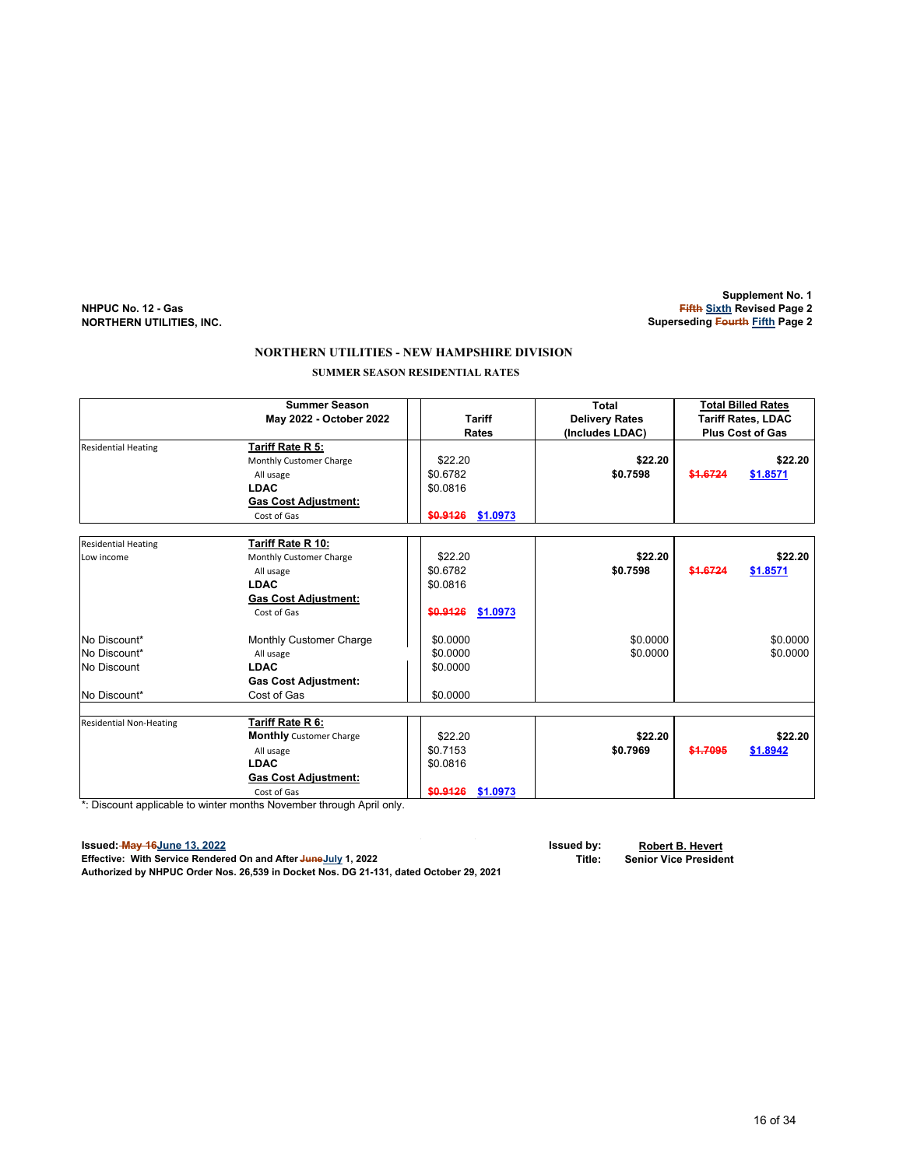#### **Supplement No. 1 NHPUC No. 12 - Gas Fifth Sixth Revised Page 2 Superseding Fourth Fifth Page 2**

### **NORTHERN UTILITIES - NEW HAMPSHIRE DIVISION**

 **SUMMER SEASON RESIDENTIAL RATES**

|                                | <b>Summer Season</b>           |                      | Total                 | <b>Total Billed Rates</b> |                           |
|--------------------------------|--------------------------------|----------------------|-----------------------|---------------------------|---------------------------|
|                                | May 2022 - October 2022        | <b>Tariff</b>        | <b>Delivery Rates</b> |                           | <b>Tariff Rates, LDAC</b> |
|                                |                                | <b>Rates</b>         | (Includes LDAC)       |                           | <b>Plus Cost of Gas</b>   |
| <b>Residential Heating</b>     | Tariff Rate R 5:               |                      |                       |                           |                           |
|                                | Monthly Customer Charge        | \$22.20              | \$22.20               |                           | \$22.20                   |
|                                | All usage                      | \$0.6782             | \$0.7598              | \$1.6724                  | \$1.8571                  |
|                                | <b>LDAC</b>                    | \$0.0816             |                       |                           |                           |
|                                | <b>Gas Cost Adjustment:</b>    |                      |                       |                           |                           |
|                                | Cost of Gas                    | \$1.0973<br>\$0.9126 |                       |                           |                           |
|                                |                                |                      |                       |                           |                           |
| <b>Residential Heating</b>     | Tariff Rate R 10:              |                      |                       |                           |                           |
| Low income                     | Monthly Customer Charge        | \$22.20              | \$22.20               |                           | \$22.20                   |
|                                | All usage                      | \$0.6782             | \$0.7598              | \$1.6724                  | \$1.8571                  |
|                                | <b>LDAC</b>                    | \$0.0816             |                       |                           |                           |
|                                | <b>Gas Cost Adjustment:</b>    |                      |                       |                           |                           |
|                                | Cost of Gas                    | \$0.9126<br>\$1.0973 |                       |                           |                           |
| No Discount*                   | Monthly Customer Charge        | \$0.0000             | \$0.0000              |                           | \$0.0000                  |
| No Discount*                   | All usage                      | \$0.0000             | \$0.0000              |                           | \$0.0000                  |
| No Discount                    | <b>LDAC</b>                    | \$0.0000             |                       |                           |                           |
|                                | <b>Gas Cost Adjustment:</b>    |                      |                       |                           |                           |
| No Discount*                   | Cost of Gas                    | \$0.0000             |                       |                           |                           |
|                                |                                |                      |                       |                           |                           |
| <b>Residential Non-Heating</b> | Tariff Rate R 6:               |                      |                       |                           |                           |
|                                | <b>Monthly</b> Customer Charge | \$22.20              | \$22.20               |                           | \$22.20                   |
|                                | All usage                      | \$0.7153             | \$0.7969              | \$1.7095                  | \$1.8942                  |
|                                | <b>LDAC</b>                    | \$0.0816             |                       |                           |                           |
|                                | <b>Gas Cost Adjustment:</b>    |                      |                       |                           |                           |
| ļ                              | Cost of Gas                    | \$0.9126<br>\$1.0973 |                       |                           |                           |

\*: Discount applicable to winter months November through April only.

**Issued: May 16June 13, 2022 Issued by: Robert B. Hevert Effective: With Service Rendered On and After JuneJuly 1, 2022 Title: Senior Vice President**

**Authorized by NHPUC Order Nos. 26,539 in Docket Nos. DG 21-131, dated October 29, 2021**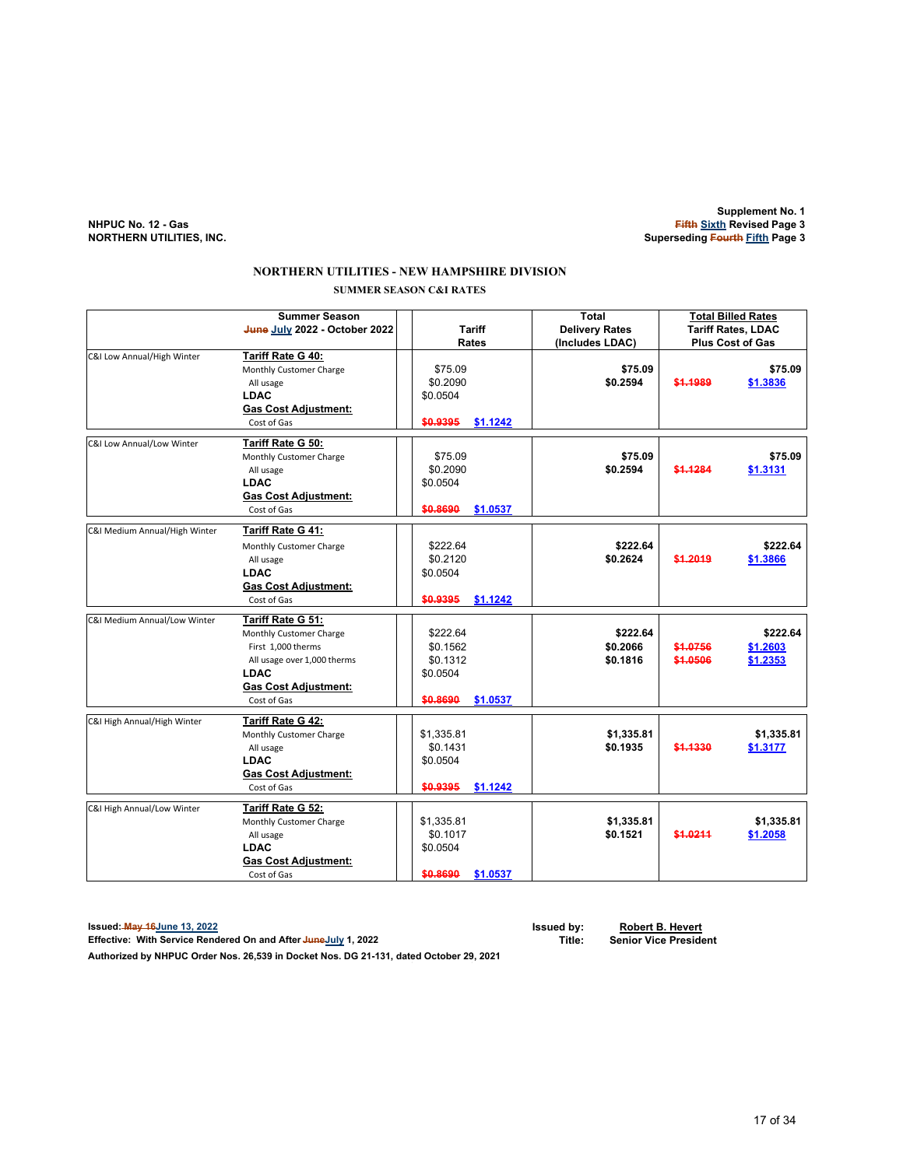**Supplement No. 1 NHPUC No. 12 - Gas Fifth Sixth Revised Page 3 NORTHERN UTILITIES, INC. Superseding Fourth Fifth Page 3**

#### **NORTHERN UTILITIES - NEW HAMPSHIRE DIVISION SUMMER SEASON C&I RATES**

|                               | <b>Summer Season</b><br>June July 2022 - October 2022                                                                                                          | <b>Tariff</b><br><b>Rates</b>                                        |                                  | <b>Total Billed Rates</b><br><b>Tariff Rates, LDAC</b><br><b>Plus Cost of Gas</b> |                                  |
|-------------------------------|----------------------------------------------------------------------------------------------------------------------------------------------------------------|----------------------------------------------------------------------|----------------------------------|-----------------------------------------------------------------------------------|----------------------------------|
| C&I Low Annual/High Winter    | Tariff Rate G 40:<br>Monthly Customer Charge<br>All usage<br><b>LDAC</b><br><b>Gas Cost Adjustment:</b><br>Cost of Gas                                         | \$75.09<br>\$0.2090<br>\$0.0504<br>\$0.9395<br>\$1.1242              | \$75.09<br>\$0.2594              | \$1.1989                                                                          | \$75.09<br>\$1.3836              |
| C&I Low Annual/Low Winter     | Tariff Rate G 50:<br>Monthly Customer Charge<br>All usage<br><b>LDAC</b><br><b>Gas Cost Adjustment:</b><br>Cost of Gas                                         | \$75.09<br>\$0.2090<br>\$0.0504<br>\$0.8690<br>\$1.0537              | \$75.09<br>\$0.2594              | \$1,1284                                                                          | \$75.09<br>\$1.3131              |
| C&I Medium Annual/High Winter | Tariff Rate G 41:<br>Monthly Customer Charge<br>All usage<br><b>LDAC</b><br><b>Gas Cost Adjustment:</b><br>Cost of Gas                                         | \$222.64<br>\$0.2120<br>\$0.0504<br>\$0.9395<br>\$1.1242             | \$222.64<br>\$0.2624             | \$1,2019                                                                          | \$222.64<br>\$1.3866             |
| C&I Medium Annual/Low Winter  | Tariff Rate G 51:<br>Monthly Customer Charge<br>First 1,000 therms<br>All usage over 1,000 therms<br><b>LDAC</b><br><b>Gas Cost Adjustment:</b><br>Cost of Gas | \$222.64<br>\$0.1562<br>\$0.1312<br>\$0.0504<br>\$0.8690<br>\$1.0537 | \$222.64<br>\$0.2066<br>\$0.1816 | \$1.0756<br>\$1.0506                                                              | \$222.64<br>\$1.2603<br>\$1.2353 |
| C&I High Annual/High Winter   | Tariff Rate G 42:<br>Monthly Customer Charge<br>All usage<br><b>LDAC</b><br><b>Gas Cost Adjustment:</b><br>Cost of Gas                                         | \$1,335.81<br>\$0.1431<br>\$0.0504<br>\$1.1242<br>\$0.9395           | \$1,335.81<br>\$0.1935           | \$1.1330                                                                          | \$1,335.81<br>\$1.3177           |
| C&I High Annual/Low Winter    | Tariff Rate G 52:<br>Monthly Customer Charge<br>All usage<br><b>LDAC</b><br><b>Gas Cost Adjustment:</b><br>Cost of Gas                                         | \$1,335.81<br>\$0.1017<br>\$0.0504<br>\$0.8690<br>\$1.0537           | \$1,335.81<br>\$0.1521           | \$1.0211                                                                          | \$1,335.81<br>\$1.2058           |

**Issued: May 16June 13, 2022 Issued by: Robert B. Hevert Effective: With Service Rendered On and After JuneJuly 1, 2022** 

**Authorized by NHPUC Order Nos. 26,539 in Docket Nos. DG 21-131, dated October 29, 2021**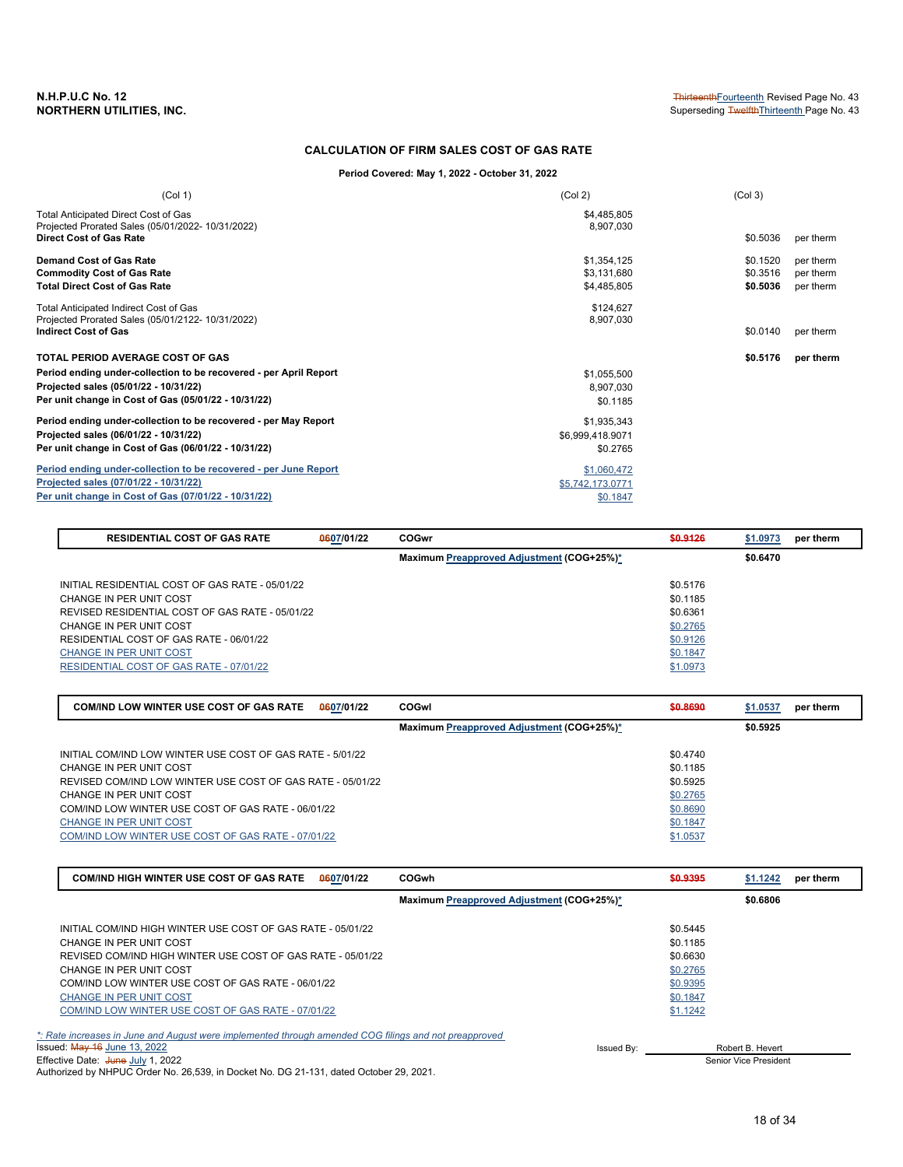#### **CALCULATION OF FIRM SALES COST OF GAS RATE**

**Period Covered: May 1, 2022 - October 31, 2022**

| (Col 1)                                                                                  | (Col 2)                  | (Col <sub>3</sub> ) |           |
|------------------------------------------------------------------------------------------|--------------------------|---------------------|-----------|
| Total Anticipated Direct Cost of Gas<br>Projected Prorated Sales (05/01/2022-10/31/2022) | \$4,485,805<br>8,907,030 |                     |           |
| <b>Direct Cost of Gas Rate</b>                                                           |                          | \$0.5036            | per therm |
| <b>Demand Cost of Gas Rate</b>                                                           | \$1,354,125              | \$0.1520            | per therm |
| <b>Commodity Cost of Gas Rate</b>                                                        | \$3,131,680              | \$0.3516            | per therm |
| <b>Total Direct Cost of Gas Rate</b>                                                     | \$4,485,805              | \$0.5036            | per therm |
| Total Anticipated Indirect Cost of Gas                                                   | \$124,627                |                     |           |
| Projected Prorated Sales (05/01/2122- 10/31/2022)                                        | 8,907,030                |                     |           |
| <b>Indirect Cost of Gas</b>                                                              |                          | \$0.0140            | per therm |
| <b>TOTAL PERIOD AVERAGE COST OF GAS</b>                                                  |                          | \$0.5176            | per therm |
| Period ending under-collection to be recovered - per April Report                        | \$1,055,500              |                     |           |
| Projected sales (05/01/22 - 10/31/22)                                                    | 8,907,030                |                     |           |
| Per unit change in Cost of Gas (05/01/22 - 10/31/22)                                     | \$0.1185                 |                     |           |
| Period ending under-collection to be recovered - per May Report                          | \$1,935,343              |                     |           |
| Projected sales (06/01/22 - 10/31/22)                                                    | \$6,999,418.9071         |                     |           |
| Per unit change in Cost of Gas (06/01/22 - 10/31/22)                                     | \$0.2765                 |                     |           |
| Period ending under-collection to be recovered - per June Report                         | \$1,060,472              |                     |           |
| Projected sales (07/01/22 - 10/31/22)                                                    | \$5,742,173.0771         |                     |           |
| Per unit change in Cost of Gas (07/01/22 - 10/31/22)                                     | \$0.1847                 |                     |           |

| <b>RESIDENTIAL COST OF GAS RATE</b>             | 0607/01/22 | <b>COGwr</b>                              | \$0,9126 | \$1.0973<br>per therm |
|-------------------------------------------------|------------|-------------------------------------------|----------|-----------------------|
|                                                 |            | Maximum Preapproved Adjustment (COG+25%)* |          | \$0.6470              |
| INITIAL RESIDENTIAL COST OF GAS RATE - 05/01/22 |            |                                           | \$0.5176 |                       |
| CHANGE IN PER UNIT COST                         |            |                                           | \$0.1185 |                       |
| REVISED RESIDENTIAL COST OF GAS RATE - 05/01/22 |            |                                           | \$0.6361 |                       |
| CHANGE IN PER UNIT COST                         |            |                                           | \$0.2765 |                       |
| RESIDENTIAL COST OF GAS RATE - 06/01/22         |            |                                           | \$0.9126 |                       |
| CHANGE IN PER UNIT COST                         |            |                                           | \$0.1847 |                       |
| RESIDENTIAL COST OF GAS RATE - 07/01/22         |            |                                           | \$1.0973 |                       |

| 0607/01/22<br><b>COM/IND LOW WINTER USE COST OF GAS RATE</b> | COGwl                                     | \$0.8690 | \$1.0537 | per therm |
|--------------------------------------------------------------|-------------------------------------------|----------|----------|-----------|
|                                                              | Maximum Preapproved Adjustment (COG+25%)* |          | \$0.5925 |           |
| INITIAL COM/IND LOW WINTER USE COST OF GAS RATE - 5/01/22    |                                           | \$0.4740 |          |           |
| CHANGE IN PER UNIT COST                                      |                                           | \$0.1185 |          |           |
| REVISED COM/IND LOW WINTER USE COST OF GAS RATE - 05/01/22   |                                           | \$0.5925 |          |           |
| CHANGE IN PER UNIT COST                                      |                                           | \$0.2765 |          |           |
| COM/IND LOW WINTER USE COST OF GAS RATE - 06/01/22           |                                           | \$0.8690 |          |           |
| CHANGE IN PER UNIT COST                                      |                                           | \$0.1847 |          |           |
| COM/IND LOW WINTER USE COST OF GAS RATE - 07/01/22           |                                           | \$1.0537 |          |           |

| <b>COM/IND HIGH WINTER USE COST OF GAS RATE</b><br>0607/01/22                                         | <b>COGwh</b>                              | \$0.9395 | \$1.1242<br>per therm |
|-------------------------------------------------------------------------------------------------------|-------------------------------------------|----------|-----------------------|
|                                                                                                       | Maximum Preapproved Adjustment (COG+25%)* |          | \$0.6806              |
| INITIAL COM/IND HIGH WINTER USE COST OF GAS RATE - 05/01/22                                           |                                           | \$0.5445 |                       |
| CHANGE IN PER UNIT COST                                                                               |                                           | \$0.1185 |                       |
| REVISED COM/IND HIGH WINTER USE COST OF GAS RATE - 05/01/22                                           |                                           | \$0.6630 |                       |
| CHANGE IN PER UNIT COST                                                                               |                                           | \$0.2765 |                       |
| COM/IND LOW WINTER USE COST OF GAS RATE - 06/01/22                                                    |                                           | \$0.9395 |                       |
| <b>CHANGE IN PER UNIT COST</b>                                                                        |                                           | \$0.1847 |                       |
| COM/IND LOW WINTER USE COST OF GAS RATE - 07/01/22                                                    |                                           | \$1.1242 |                       |
| t: Rate increases in June and August were implemented through amended COG filings and not preapproved |                                           |          |                       |
| Issued: May 16 June 13, 2022                                                                          | Issued By:                                |          | Robert B. Hevert      |
|                                                                                                       |                                           |          |                       |

Effective Date: <del>June</del> <u>July</u> 1, 2022<br>Authorized by NHPUC Order No. 26,539, in Docket No. DG 21-131, dated October 29, 2021.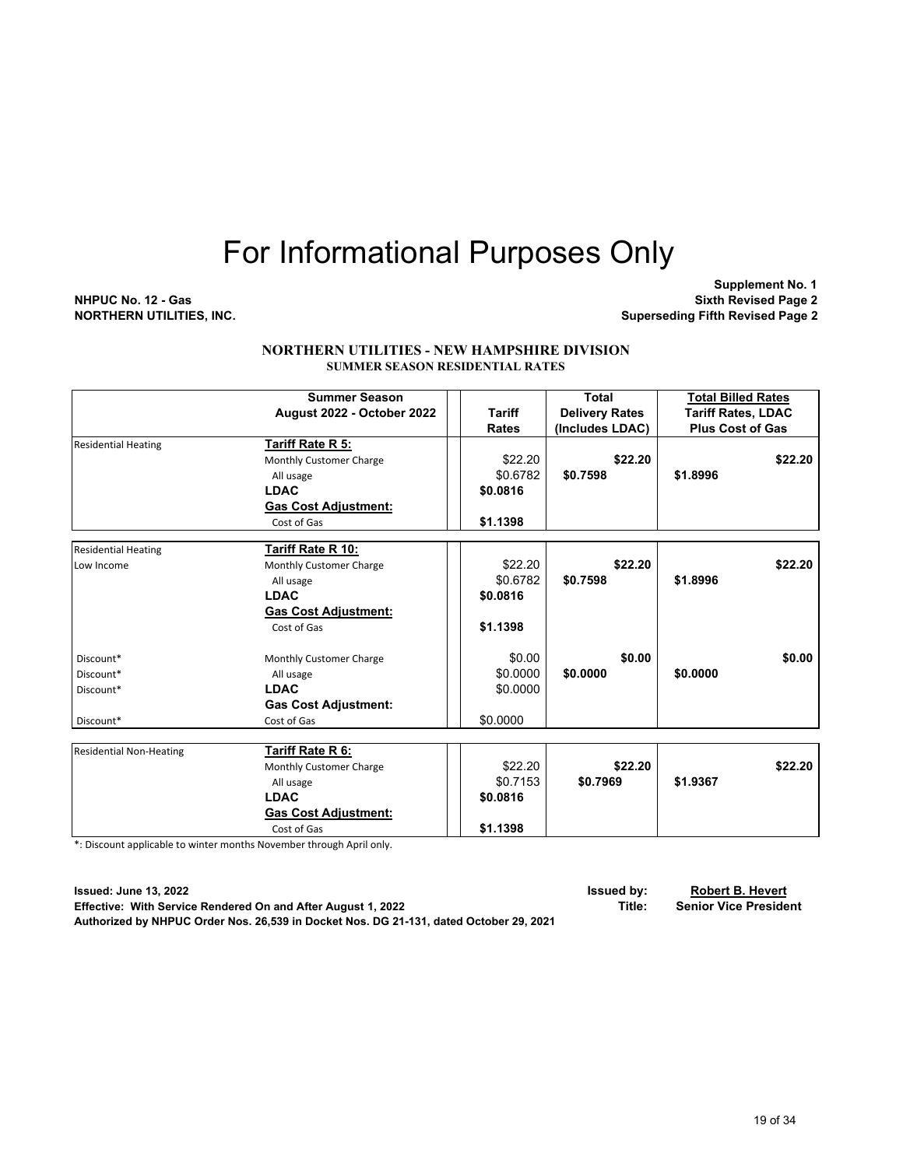**Supplement No. 1 NHPUC No. 12 - Gas Sixth Revised Page 2 NORTHERN UTILITIES, INC. Superseding Fifth Revised Page 2**

#### **NORTHERN UTILITIES - NEW HAMPSHIRE DIVISION SUMMER SEASON RESIDENTIAL RATES**

|                                | <b>Summer Season</b>        |                     | <b>Total</b>          | <b>Total Billed Rates</b> |
|--------------------------------|-----------------------------|---------------------|-----------------------|---------------------------|
|                                | August 2022 - October 2022  | <b>Tariff</b>       | <b>Delivery Rates</b> | <b>Tariff Rates, LDAC</b> |
|                                |                             | <b>Rates</b>        | (Includes LDAC)       | <b>Plus Cost of Gas</b>   |
| <b>Residential Heating</b>     | Tariff Rate R 5:            |                     |                       |                           |
|                                | Monthly Customer Charge     | \$22.20             | \$22.20               | \$22.20                   |
|                                | All usage                   | \$0.6782            | \$0.7598              | \$1.8996                  |
|                                | <b>LDAC</b>                 | \$0.0816            |                       |                           |
|                                | <b>Gas Cost Adjustment:</b> |                     |                       |                           |
|                                | Cost of Gas                 | \$1.1398            |                       |                           |
| <b>Residential Heating</b>     | Tariff Rate R 10:           |                     |                       |                           |
| Low Income                     | Monthly Customer Charge     | \$22.20             | \$22.20               | \$22.20                   |
|                                | All usage                   | \$0.6782            | \$0.7598              | \$1.8996                  |
|                                | <b>LDAC</b>                 | \$0.0816            |                       |                           |
|                                | <b>Gas Cost Adjustment:</b> |                     |                       |                           |
|                                | Cost of Gas                 | \$1.1398            |                       |                           |
| Discount*                      | Monthly Customer Charge     | \$0.00              | \$0.00                | \$0.00                    |
| Discount*                      | All usage                   | \$0.0000            | \$0.0000              | \$0,0000                  |
| Discount*                      | <b>LDAC</b>                 | \$0.0000            |                       |                           |
|                                | <b>Gas Cost Adjustment:</b> |                     |                       |                           |
| Discount*                      | Cost of Gas                 | \$0.0000            |                       |                           |
|                                |                             |                     |                       |                           |
| <b>Residential Non-Heating</b> | Tariff Rate R 6:            |                     | \$22.20               |                           |
|                                | Monthly Customer Charge     | \$22.20<br>\$0.7153 | \$0.7969              | \$22.20<br>\$1.9367       |
|                                | All usage<br><b>LDAC</b>    |                     |                       |                           |
|                                |                             | \$0.0816            |                       |                           |
|                                | <b>Gas Cost Adjustment:</b> |                     |                       |                           |
|                                | Cost of Gas                 | \$1.1398            |                       |                           |

\*: Discount applicable to winter months November through April only.

**Issued: June 13, 2022 Issued by: Robert B. Hevert Effective: With Service Rendered On and After August 1, 2022 Title:** Title: **Authorized by NHPUC Order Nos. 26,539 in Docket Nos. DG 21-131, dated October 29, 2021**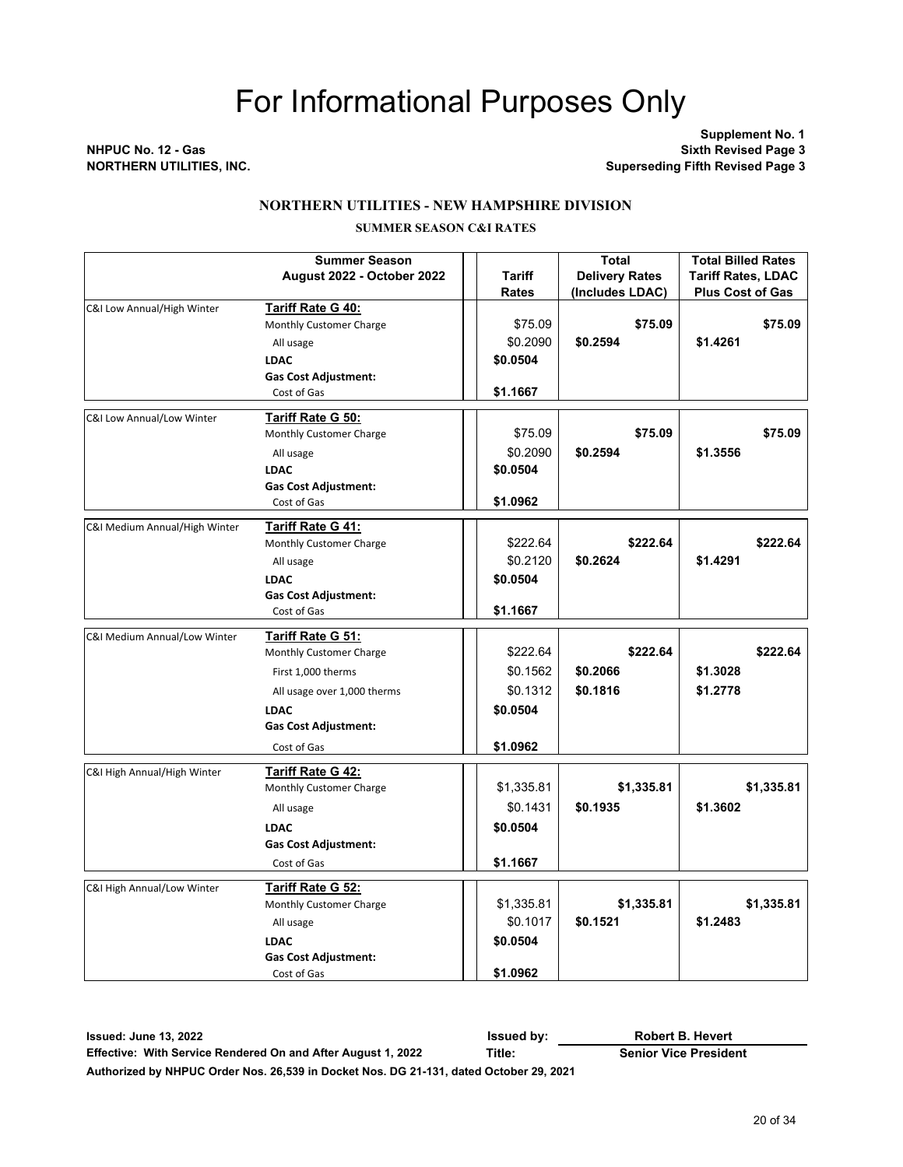**Supplement No. 1 NHPUC No. 12 - Gas Sixth Revised Page 3 Superseding Fifth Revised Page 3** 

#### **NORTHERN UTILITIES - NEW HAMPSHIRE DIVISION**

#### **SUMMER SEASON C&I RATES**

|                               | <b>Summer Season</b>                         |            | <b>Total</b>          | <b>Total Billed Rates</b> |
|-------------------------------|----------------------------------------------|------------|-----------------------|---------------------------|
|                               | August 2022 - October 2022                   | Tariff     | <b>Delivery Rates</b> | <b>Tariff Rates, LDAC</b> |
|                               |                                              | Rates      | (Includes LDAC)       | <b>Plus Cost of Gas</b>   |
| C&I Low Annual/High Winter    | <b>Tariff Rate G 40:</b>                     |            |                       |                           |
|                               | Monthly Customer Charge                      | \$75.09    | \$75.09               | \$75.09                   |
|                               | All usage                                    | \$0.2090   | \$0.2594              | \$1.4261                  |
|                               | <b>LDAC</b>                                  | \$0.0504   |                       |                           |
|                               | <b>Gas Cost Adjustment:</b>                  |            |                       |                           |
|                               | Cost of Gas                                  | \$1.1667   |                       |                           |
| C&I Low Annual/Low Winter     | Tariff Rate G 50:                            |            |                       |                           |
|                               | Monthly Customer Charge                      | \$75.09    | \$75.09               | \$75.09                   |
|                               | All usage                                    | \$0.2090   | \$0.2594              | \$1.3556                  |
|                               | <b>LDAC</b>                                  | \$0.0504   |                       |                           |
|                               | <b>Gas Cost Adjustment:</b>                  |            |                       |                           |
|                               | Cost of Gas                                  | \$1.0962   |                       |                           |
|                               |                                              |            |                       |                           |
| C&I Medium Annual/High Winter | Tariff Rate G 41:<br>Monthly Customer Charge | \$222.64   | \$222.64              | \$222.64                  |
|                               |                                              | \$0.2120   | \$0.2624              |                           |
|                               | All usage                                    |            |                       | \$1.4291                  |
|                               | <b>LDAC</b>                                  | \$0.0504   |                       |                           |
|                               | <b>Gas Cost Adjustment:</b><br>Cost of Gas   | \$1.1667   |                       |                           |
|                               |                                              |            |                       |                           |
| C&I Medium Annual/Low Winter  | Tariff Rate G 51:                            |            |                       |                           |
|                               | Monthly Customer Charge                      | \$222.64   | \$222.64              | \$222.64                  |
|                               | First 1,000 therms                           | \$0.1562   | \$0.2066              | \$1.3028                  |
|                               | All usage over 1,000 therms                  | \$0.1312   | \$0.1816              | \$1.2778                  |
|                               | <b>LDAC</b>                                  | \$0.0504   |                       |                           |
|                               | <b>Gas Cost Adjustment:</b>                  |            |                       |                           |
|                               | Cost of Gas                                  | \$1.0962   |                       |                           |
| C&I High Annual/High Winter   | Tariff Rate G 42:                            |            |                       |                           |
|                               | Monthly Customer Charge                      | \$1,335.81 | \$1,335.81            | \$1,335.81                |
|                               | All usage                                    | \$0.1431   | \$0.1935              | \$1.3602                  |
|                               | <b>LDAC</b>                                  | \$0.0504   |                       |                           |
|                               | <b>Gas Cost Adjustment:</b>                  |            |                       |                           |
|                               |                                              | \$1.1667   |                       |                           |
|                               | Cost of Gas                                  |            |                       |                           |
| C&I High Annual/Low Winter    | Tariff Rate G 52:                            |            |                       |                           |
|                               | Monthly Customer Charge                      | \$1,335.81 | \$1,335.81            | \$1,335.81                |
|                               | All usage                                    | \$0.1017   | \$0.1521              | \$1.2483                  |
|                               | <b>LDAC</b>                                  | \$0.0504   |                       |                           |
|                               | <b>Gas Cost Adjustment:</b>                  |            |                       |                           |
|                               | Cost of Gas                                  | \$1.0962   |                       |                           |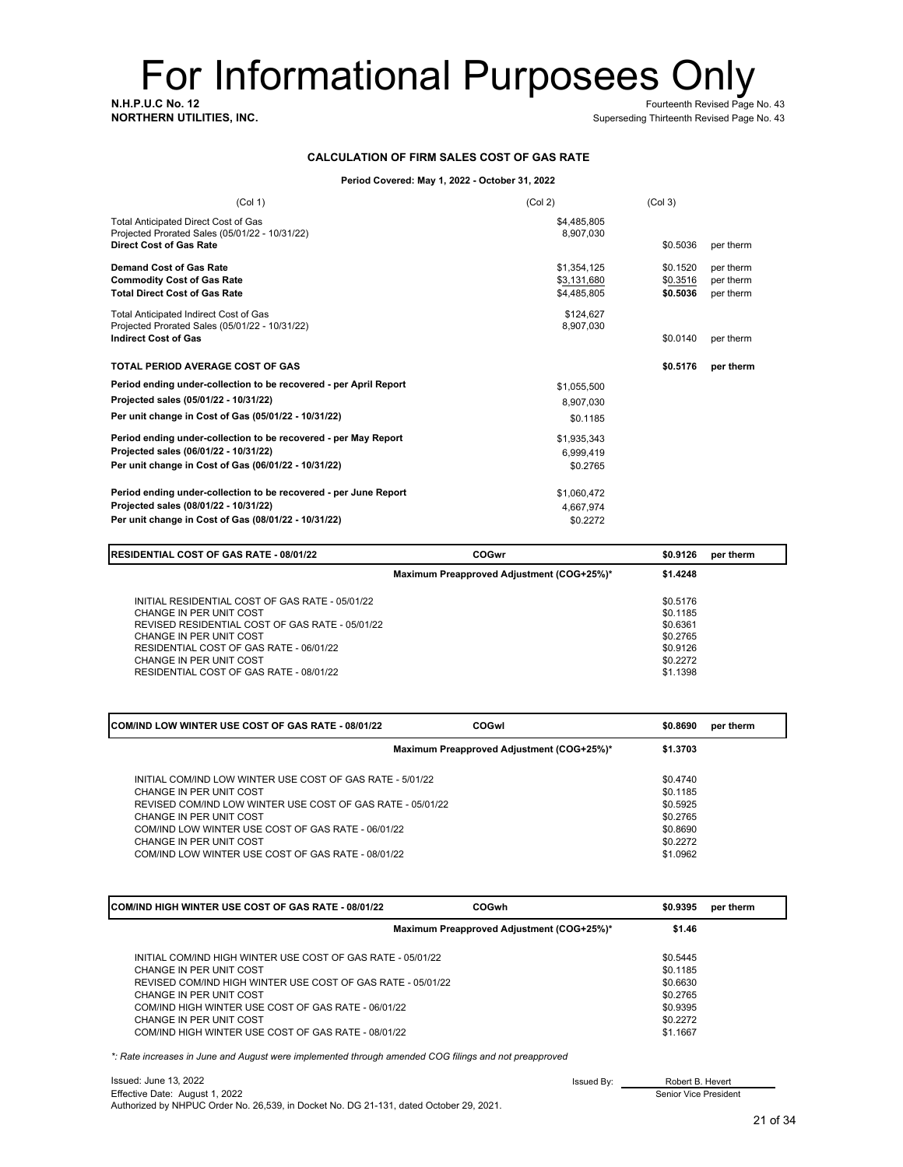**N.H.P.U.C No. 12** Fourteenth Revised Page No. 43<br>**NORTHERN UTILITIES, INC.** The Contract of the Contract of the Contract of the Superseding Thirteenth Revised Page No. 43

Superseding Thirteenth Revised Page No. 43

#### **CALCULATION OF FIRM SALES COST OF GAS RATE**

#### **Period Covered: May 1, 2022 - October 31, 2022**

| (Col 1)                                                                                                                                                            | (Col 2)                                   | (Col <sub>3</sub> )              |                                     |
|--------------------------------------------------------------------------------------------------------------------------------------------------------------------|-------------------------------------------|----------------------------------|-------------------------------------|
| Total Anticipated Direct Cost of Gas<br>Projected Prorated Sales (05/01/22 - 10/31/22)<br><b>Direct Cost of Gas Rate</b>                                           | \$4,485,805<br>8,907,030                  | \$0.5036                         | per therm                           |
| <b>Demand Cost of Gas Rate</b><br><b>Commodity Cost of Gas Rate</b><br><b>Total Direct Cost of Gas Rate</b>                                                        | \$1,354,125<br>\$3,131,680<br>\$4,485,805 | \$0.1520<br>\$0.3516<br>\$0.5036 | per therm<br>per therm<br>per therm |
| Total Anticipated Indirect Cost of Gas<br>Projected Prorated Sales (05/01/22 - 10/31/22)<br><b>Indirect Cost of Gas</b>                                            | \$124,627<br>8,907,030                    | \$0.0140                         | per therm                           |
| <b>TOTAL PERIOD AVERAGE COST OF GAS</b>                                                                                                                            |                                           | \$0.5176                         | per therm                           |
| Period ending under-collection to be recovered - per April Report<br>Projected sales (05/01/22 - 10/31/22)<br>Per unit change in Cost of Gas (05/01/22 - 10/31/22) | \$1,055,500<br>8,907,030<br>\$0.1185      |                                  |                                     |
| Period ending under-collection to be recovered - per May Report<br>Projected sales (06/01/22 - 10/31/22)<br>Per unit change in Cost of Gas (06/01/22 - 10/31/22)   | \$1,935,343<br>6,999,419<br>\$0.2765      |                                  |                                     |
| Period ending under-collection to be recovered - per June Report<br>Projected sales (08/01/22 - 10/31/22)<br>Per unit change in Cost of Gas (08/01/22 - 10/31/22)  | \$1,060,472<br>4.667.974<br>\$0.2272      |                                  |                                     |

| <b>RESIDENTIAL COST OF GAS RATE - 08/01/22</b>                                                                                                                                                                                                                            | <b>COGwr</b>                              | \$0.9126                                                                         | per therm |
|---------------------------------------------------------------------------------------------------------------------------------------------------------------------------------------------------------------------------------------------------------------------------|-------------------------------------------|----------------------------------------------------------------------------------|-----------|
|                                                                                                                                                                                                                                                                           | Maximum Preapproved Adjustment (COG+25%)* | \$1.4248                                                                         |           |
| INITIAL RESIDENTIAL COST OF GAS RATE - 05/01/22<br>CHANGE IN PER UNIT COST<br>REVISED RESIDENTIAL COST OF GAS RATE - 05/01/22<br>CHANGE IN PER UNIT COST<br>RESIDENTIAL COST OF GAS RATE - 06/01/22<br>CHANGE IN PER UNIT COST<br>RESIDENTIAL COST OF GAS RATE - 08/01/22 |                                           | \$0.5176<br>\$0.1185<br>\$0.6361<br>\$0.2765<br>\$0.9126<br>\$0.2272<br>\$1.1398 |           |

| <b>ICOM/IND LOW WINTER USE COST OF GAS RATE - 08/01/22</b>                                                                                                                                                                                                                                                           | COGwl                                     | \$0.8690                                                                         | per therm |
|----------------------------------------------------------------------------------------------------------------------------------------------------------------------------------------------------------------------------------------------------------------------------------------------------------------------|-------------------------------------------|----------------------------------------------------------------------------------|-----------|
|                                                                                                                                                                                                                                                                                                                      | Maximum Preapproved Adjustment (COG+25%)* | \$1.3703                                                                         |           |
| INITIAL COM/IND LOW WINTER USE COST OF GAS RATE - 5/01/22<br>CHANGE IN PER UNIT COST<br>REVISED COM/IND LOW WINTER USE COST OF GAS RATE - 05/01/22<br>CHANGE IN PER UNIT COST<br>COM/IND LOW WINTER USE COST OF GAS RATE - 06/01/22<br>CHANGE IN PER UNIT COST<br>COM/IND LOW WINTER USE COST OF GAS RATE - 08/01/22 |                                           | \$0.4740<br>\$0.1185<br>\$0.5925<br>\$0,2765<br>\$0.8690<br>\$0,2272<br>\$1.0962 |           |

| ICOM/IND HIGH WINTER USE COST OF GAS RATE - 08/01/22        | COGwh                                     | \$0.9395 | per therm |
|-------------------------------------------------------------|-------------------------------------------|----------|-----------|
|                                                             | Maximum Preapproved Adjustment (COG+25%)* | \$1.46   |           |
| INITIAL COM/IND HIGH WINTER USE COST OF GAS RATE - 05/01/22 |                                           | \$0.5445 |           |
| CHANGE IN PER UNIT COST                                     |                                           | \$0.1185 |           |
| REVISED COM/IND HIGH WINTER USE COST OF GAS RATE - 05/01/22 |                                           | \$0.6630 |           |
| CHANGE IN PER UNIT COST                                     |                                           | \$0.2765 |           |
| COM/IND HIGH WINTER USE COST OF GAS RATE - 06/01/22         |                                           | \$0.9395 |           |
| CHANGE IN PER UNIT COST                                     |                                           | \$0.2272 |           |
| COM/IND HIGH WINTER USE COST OF GAS RATE - 08/01/22         |                                           | \$1.1667 |           |

*\*: Rate increases in June and August were implemented through amended COG filings and not preapproved*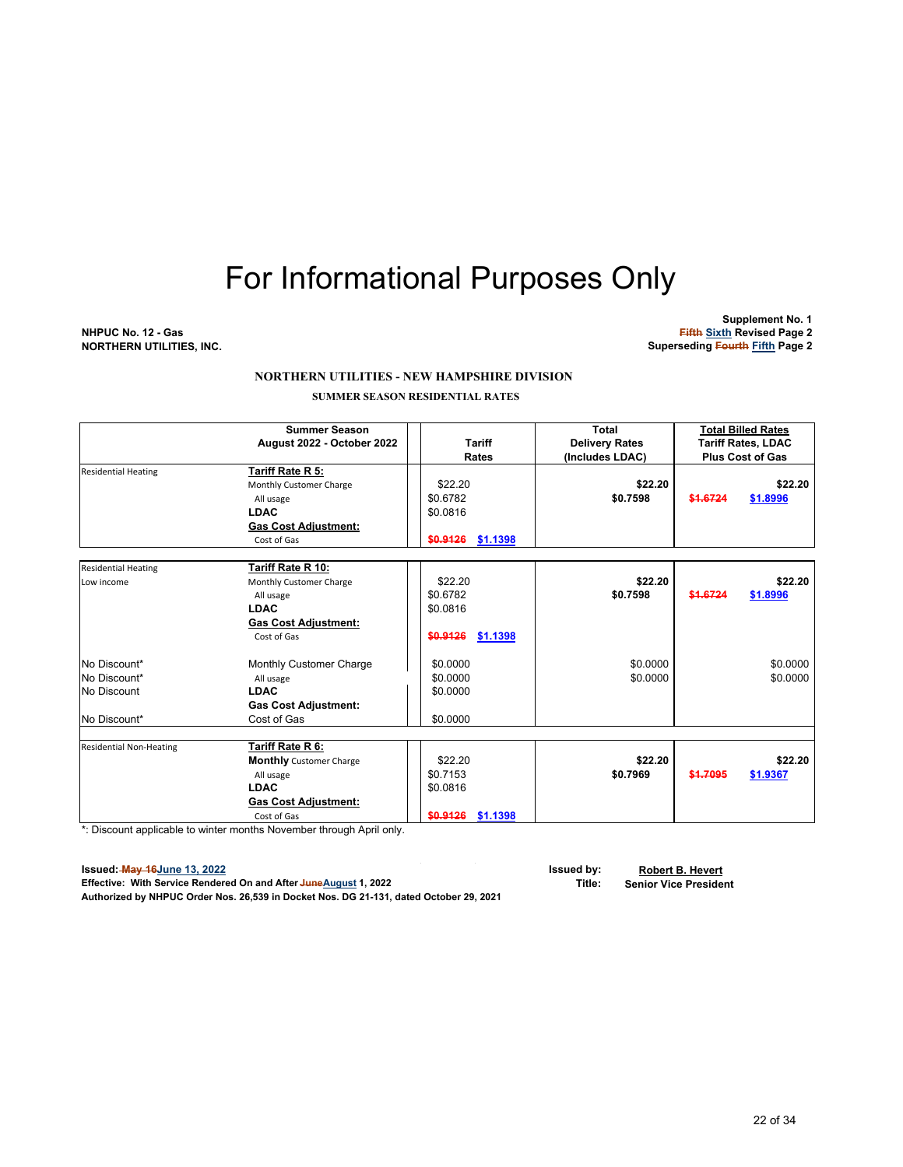**Supplement No. 1 NHPUC No. 12 - Gas Fifth Sixth Revised Page 2 NORTHERN UTILITIES, INC. Superseding Fourth Fifth Page 2**

#### **NORTHERN UTILITIES - NEW HAMPSHIRE DIVISION**

 **SUMMER SEASON RESIDENTIAL RATES**

|                                | <b>Summer Season</b>           |                      | Total                 | <b>Total Billed Rates</b> |                           |
|--------------------------------|--------------------------------|----------------------|-----------------------|---------------------------|---------------------------|
|                                | August 2022 - October 2022     | <b>Tariff</b>        | <b>Delivery Rates</b> |                           | <b>Tariff Rates, LDAC</b> |
|                                |                                | <b>Rates</b>         | (Includes LDAC)       |                           | <b>Plus Cost of Gas</b>   |
| <b>Residential Heating</b>     | Tariff Rate R 5:               |                      |                       |                           |                           |
|                                | Monthly Customer Charge        | \$22.20              | \$22.20               |                           | \$22.20                   |
|                                | All usage                      | \$0.6782             | \$0.7598              | \$1.6724                  | \$1.8996                  |
|                                | <b>LDAC</b>                    | \$0.0816             |                       |                           |                           |
|                                | Gas Cost Adjustment:           |                      |                       |                           |                           |
|                                | Cost of Gas                    | \$0.9126 \$1.1398    |                       |                           |                           |
|                                |                                |                      |                       |                           |                           |
| <b>Residential Heating</b>     | Tariff Rate R 10:              |                      |                       |                           |                           |
| Low income                     | Monthly Customer Charge        | \$22.20              | \$22.20               |                           | \$22.20                   |
|                                | All usage                      | \$0.6782             | \$0.7598              | \$1.6724                  | \$1.8996                  |
|                                | <b>LDAC</b>                    | \$0.0816             |                       |                           |                           |
|                                | <b>Gas Cost Adjustment:</b>    |                      |                       |                           |                           |
|                                | Cost of Gas                    | \$0.9126<br>\$1.1398 |                       |                           |                           |
| No Discount*                   | Monthly Customer Charge        | \$0.0000             | \$0.0000              |                           | \$0.0000                  |
| No Discount*                   | All usage                      | \$0.0000             | \$0.0000              |                           | \$0.0000                  |
| No Discount                    | <b>LDAC</b>                    | \$0.0000             |                       |                           |                           |
|                                | <b>Gas Cost Adjustment:</b>    |                      |                       |                           |                           |
| No Discount*                   | Cost of Gas                    | \$0.0000             |                       |                           |                           |
|                                |                                |                      |                       |                           |                           |
| <b>Residential Non-Heating</b> | Tariff Rate R 6:               |                      |                       |                           |                           |
|                                | <b>Monthly</b> Customer Charge | \$22.20              | \$22.20               |                           | \$22.20                   |
|                                | All usage                      | \$0.7153             | \$0.7969              | \$1.7095                  | \$1.9367                  |
|                                | <b>LDAC</b>                    | \$0.0816             |                       |                           |                           |
|                                | <b>Gas Cost Adjustment:</b>    |                      |                       |                           |                           |
|                                | Cost of Gas                    | \$0.9126<br>\$1.1398 |                       |                           |                           |

 $\bar{z}$ 

 $\mathcal{A}$ 

\*: Discount applicable to winter months November through April only.

**Issued: May 16June 13, 2022 Issued by: Robert B. Hevert Effective: With Service Rendered On and After JuneAugust 1, 2022 Authorized by NHPUC Order Nos. 26,539 in Docket Nos. DG 21-131, dated October 29, 2021**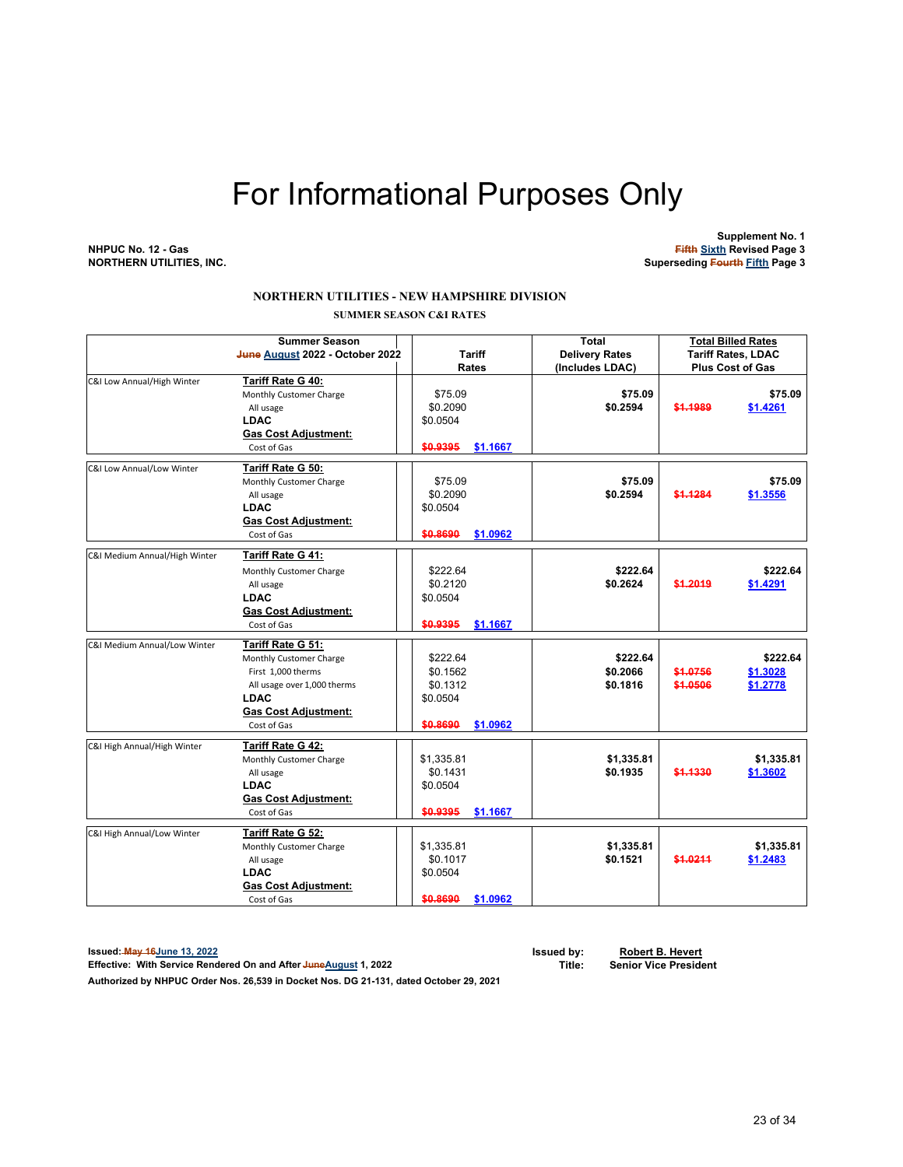**Supplement No. 1 NHPUC No. 12 - Gas Fifth Sixth Revised Page 3 Superseding Fourth Fifth Page 3** 

#### **NORTHERN UTILITIES - NEW HAMPSHIRE DIVISION SUMMER SEASON C&I RATES**

| <b>Summer Season</b><br>June August 2022 - October 2022 |                                                                                                                                                                | <b>Tariff</b><br>Rates                                               | <b>Total</b><br><b>Delivery Rates</b><br>(Includes LDAC) | <b>Total Billed Rates</b><br><b>Tariff Rates, LDAC</b><br><b>Plus Cost of Gas</b> |                                  |
|---------------------------------------------------------|----------------------------------------------------------------------------------------------------------------------------------------------------------------|----------------------------------------------------------------------|----------------------------------------------------------|-----------------------------------------------------------------------------------|----------------------------------|
| C&I Low Annual/High Winter                              | Tariff Rate G 40:<br>Monthly Customer Charge<br>All usage<br><b>LDAC</b><br><b>Gas Cost Adjustment:</b><br>Cost of Gas                                         | \$75.09<br>\$0.2090<br>\$0.0504<br>\$0.9395<br>\$1.1667              | \$75.09<br>\$0.2594                                      | \$1,1989                                                                          | \$75.09<br>\$1.4261              |
| C&I Low Annual/Low Winter                               | <b>Tariff Rate G 50:</b><br>Monthly Customer Charge<br>All usage<br><b>LDAC</b><br><b>Gas Cost Adjustment:</b><br>Cost of Gas                                  | \$75.09<br>\$0.2090<br>\$0.0504<br>\$0.8690<br>\$1.0962              | \$75.09<br>\$0.2594                                      | \$1.1284                                                                          | \$75.09<br>\$1.3556              |
| C&I Medium Annual/High Winter                           | Tariff Rate G 41:<br>Monthly Customer Charge<br>All usage<br><b>LDAC</b><br><b>Gas Cost Adjustment:</b><br>Cost of Gas                                         | \$222.64<br>\$0.2120<br>\$0.0504<br>\$0.9395<br>\$1.1667             | \$222.64<br>\$0.2624                                     | \$1.2019                                                                          | \$222.64<br>\$1.4291             |
| C&I Medium Annual/Low Winter                            | Tariff Rate G 51:<br>Monthly Customer Charge<br>First 1,000 therms<br>All usage over 1,000 therms<br><b>LDAC</b><br><b>Gas Cost Adjustment:</b><br>Cost of Gas | \$222.64<br>\$0.1562<br>\$0.1312<br>\$0.0504<br>\$0.8690<br>\$1.0962 | \$222.64<br>\$0.2066<br>\$0.1816                         | \$1.0756<br>\$1.0506                                                              | \$222.64<br>\$1.3028<br>\$1.2778 |
| C&I High Annual/High Winter                             | Tariff Rate G 42:<br>Monthly Customer Charge<br>All usage<br><b>LDAC</b><br><b>Gas Cost Adjustment:</b><br>Cost of Gas                                         | \$1,335.81<br>\$0.1431<br>\$0.0504<br>\$0.9395<br>\$1.1667           | \$1,335.81<br>\$0.1935                                   | \$1.1330                                                                          | \$1,335.81<br>\$1.3602           |
| C&I High Annual/Low Winter                              | Tariff Rate G 52:<br>Monthly Customer Charge<br>All usage<br><b>LDAC</b><br><b>Gas Cost Adjustment:</b><br>Cost of Gas                                         | \$1,335.81<br>\$0.1017<br>\$0.0504<br>\$0.8690<br>\$1.0962           | \$1,335.81<br>\$0.1521                                   | \$1.0211                                                                          | \$1,335.81<br>\$1.2483           |

**Issued: May 16June 13, 2022 Issued by: Robert B. Hevert Effective: With Service Rendered On and After JuneAugust 1, 2022** 

**Authorized by NHPUC Order Nos. 26,539 in Docket Nos. DG 21-131, dated October 29, 2021**